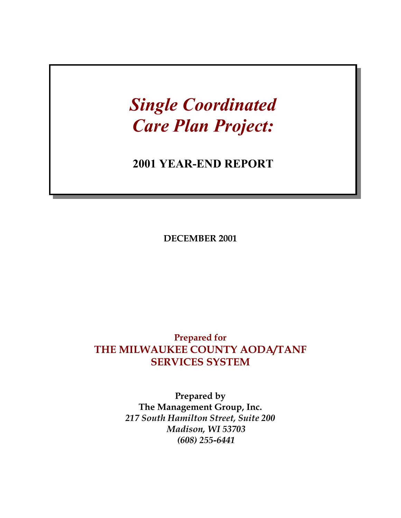# *Single Coordinated Care Plan Project:*

## **2001 YEAR-END REPORT**

**DECEMBER 2001** 

### **Prepared for THE MILWAUKEE COUNTY AODA/TANF SERVICES SYSTEM**

**Prepared by The Management Group, Inc.**  *217 South Hamilton Street, Suite 200 Madison, WI 53703 (608) 255-6441*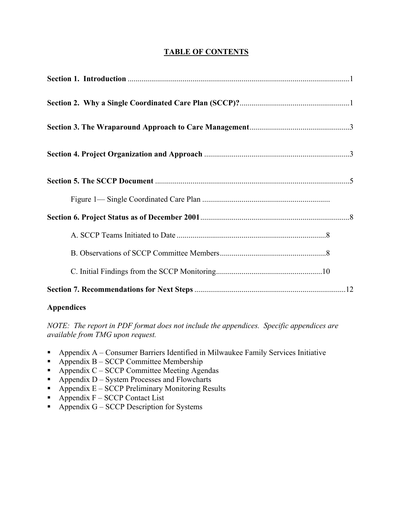#### **TABLE OF CONTENTS**

#### **Appendices**

*NOTE: The report in PDF format does not include the appendices. Specific appendices are available from TMG upon request.* 

- Appendix  $A -$ Consumer Barriers Identified in Milwaukee Family Services Initiative
- Appendix  $B SCCP$  Committee Membership
- Appendix  $C SCCP$  Committee Meeting Agendas
- $\blacksquare$  Appendix D System Processes and Flowcharts
- Appendix  $E SCCP$  Preliminary Monitoring Results
- Appendix  $F SCCP$  Contact List
- Appendix  $G SCCP$  Description for Systems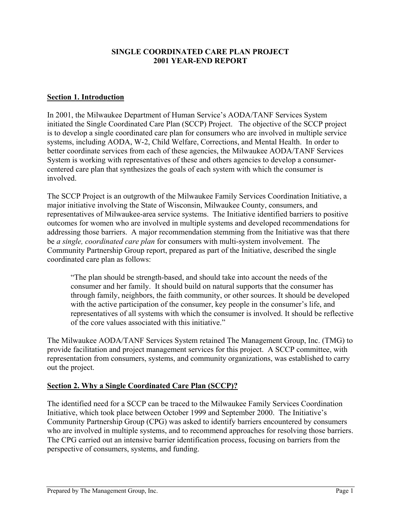#### **SINGLE COORDINATED CARE PLAN PROJECT 2001 YEAR-END REPORT**

#### **Section 1. Introduction**

In 2001, the Milwaukee Department of Human Service's AODA/TANF Services System initiated the Single Coordinated Care Plan (SCCP) Project. The objective of the SCCP project is to develop a single coordinated care plan for consumers who are involved in multiple service systems, including AODA, W-2, Child Welfare, Corrections, and Mental Health. In order to better coordinate services from each of these agencies, the Milwaukee AODA/TANF Services System is working with representatives of these and others agencies to develop a consumercentered care plan that synthesizes the goals of each system with which the consumer is involved.

The SCCP Project is an outgrowth of the Milwaukee Family Services Coordination Initiative, a major initiative involving the State of Wisconsin, Milwaukee County, consumers, and representatives of Milwaukee-area service systems. The Initiative identified barriers to positive outcomes for women who are involved in multiple systems and developed recommendations for addressing those barriers. A major recommendation stemming from the Initiative was that there be *a single, coordinated care plan* for consumers with multi-system involvement. The Community Partnership Group report, prepared as part of the Initiative, described the single coordinated care plan as follows:

"The plan should be strength-based, and should take into account the needs of the consumer and her family. It should build on natural supports that the consumer has through family, neighbors, the faith community, or other sources. It should be developed with the active participation of the consumer, key people in the consumer's life, and representatives of all systems with which the consumer is involved. It should be reflective of the core values associated with this initiative."

The Milwaukee AODA/TANF Services System retained The Management Group, Inc. (TMG) to provide facilitation and project management services for this project. A SCCP committee, with representation from consumers, systems, and community organizations, was established to carry out the project.

#### **Section 2. Why a Single Coordinated Care Plan (SCCP)?**

The identified need for a SCCP can be traced to the Milwaukee Family Services Coordination Initiative, which took place between October 1999 and September 2000. The Initiative's Community Partnership Group (CPG) was asked to identify barriers encountered by consumers who are involved in multiple systems, and to recommend approaches for resolving those barriers. The CPG carried out an intensive barrier identification process, focusing on barriers from the perspective of consumers, systems, and funding.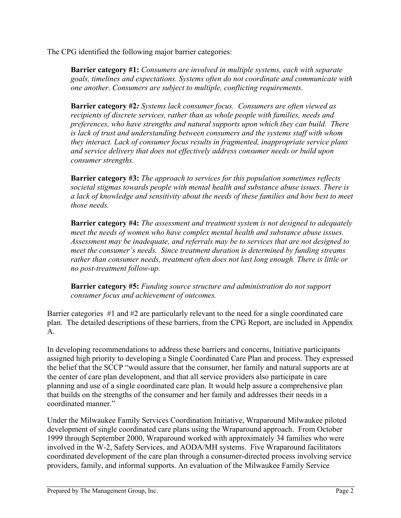The CPG identified the following major barrier categories:

**Barrier category #1:** *Consumers are involved in multiple systems, each with separate goals, timelines and expectations. Systems often do not coordinate and communicate with one another. Consumers are subject to multiple, conflicting requirements.*

**Barrier category #2***: Systems lack consumer focus. Consumers are often viewed as recipients of discrete services, rather than as whole people with families, needs and preferences, who have strengths and natural supports upon which they can build. There is lack of trust and understanding between consumers and the systems staff with whom they interact. Lack of consumer focus results in fragmented, inappropriate service plans and service delivery that does not effectively address consumer needs or build upon consumer strengths.* 

**Barrier category #3:** *The approach to services for this population sometimes reflects societal stigmas towards people with mental health and substance abuse issues. There is a lack of knowledge and sensitivity about the needs of these families and how best to meet those needs.*

**Barrier category #4:** *The assessment and treatment system is not designed to adequately meet the needs of women who have complex mental health and substance abuse issues. Assessment may be inadequate, and referrals may be to services that are not designed to meet the consumer's needs. Since treatment duration is determined by funding streams rather than consumer needs, treatment often does not last long enough. There is little or no post-treatment follow-up.* 

**Barrier category #5:** *Funding source structure and administration do not support consumer focus and achievement of outcomes.* 

Barrier categories #1 and #2 are particularly relevant to the need for a single coordinated care plan. The detailed descriptions of these barriers, from the CPG Report, are included in Appendix A.

In developing recommendations to address these barriers and concerns, Initiative participants assigned high priority to developing a Single Coordinated Care Plan and process. They expressed the belief that the SCCP "would assure that the consumer, her family and natural supports are at the center of care plan development, and that all service providers also participate in care planning and use of a single coordinated care plan. It would help assure a comprehensive plan that builds on the strengths of the consumer and her family and addresses their needs in a coordinated manner."

Under the Milwaukee Family Services Coordination Initiative, Wraparound Milwaukee piloted development of single coordinated care plans using the Wraparound approach. From October 1999 through September 2000, Wraparound worked with approximately 34 families who were involved in the W-2, Safety Services, and AODA/MH systems. Five Wraparound facilitators coordinated development of the care plan through a consumer-directed process involving service providers, family, and informal supports. An evaluation of the Milwaukee Family Service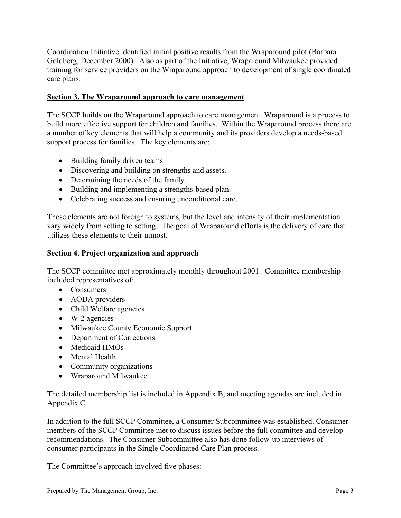Coordination Initiative identified initial positive results from the Wraparound pilot (Barbara Goldberg, December 2000). Also as part of the Initiative, Wraparound Milwaukee provided training for service providers on the Wraparound approach to development of single coordinated care plans.

#### **Section 3. The Wraparound approach to care management**

The SCCP builds on the Wraparound approach to care management. Wraparound is a process to build more effective support for children and families. Within the Wraparound process there are a number of key elements that will help a community and its providers develop a needs-based support process for families. The key elements are:

- Building family driven teams.
- Discovering and building on strengths and assets.
- Determining the needs of the family.
- Building and implementing a strengths-based plan.
- Celebrating success and ensuring unconditional care.

These elements are not foreign to systems, but the level and intensity of their implementation vary widely from setting to setting. The goal of Wraparound efforts is the delivery of care that utilizes these elements to their utmost.

#### **Section 4. Project organization and approach**

The SCCP committee met approximately monthly throughout 2001. Committee membership included representatives of:

- Consumers
- AODA providers
- Child Welfare agencies
- W-2 agencies
- Milwaukee County Economic Support
- Department of Corrections
- Medicaid HMOs
- Mental Health
- Community organizations
- Wraparound Milwaukee

The detailed membership list is included in Appendix B, and meeting agendas are included in Appendix C.

In addition to the full SCCP Committee, a Consumer Subcommittee was established. Consumer members of the SCCP Committee met to discuss issues before the full committee and develop recommendations. The Consumer Subcommittee also has done follow-up interviews of consumer participants in the Single Coordinated Care Plan process.

The Committee's approach involved five phases: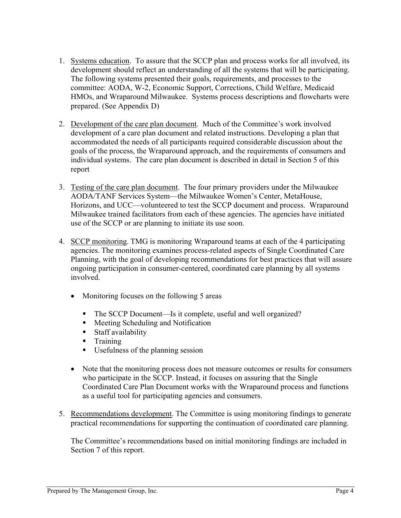- 1. Systems education. To assure that the SCCP plan and process works for all involved, its development should reflect an understanding of all the systems that will be participating. The following systems presented their goals, requirements, and processes to the committee: AODA, W-2, Economic Support, Corrections, Child Welfare, Medicaid HMOs, and Wraparound Milwaukee. Systems process descriptions and flowcharts were prepared. (See Appendix D)
- 2. Development of the care plan document. Much of the Committee's work involved development of a care plan document and related instructions. Developing a plan that accommodated the needs of all participants required considerable discussion about the goals of the process, the Wraparound approach, and the requirements of consumers and individual systems. The care plan document is described in detail in Section 5 of this report
- 3. Testing of the care plan document. The four primary providers under the Milwaukee AODA/TANF Services System—the Milwaukee Women's Center, MetaHouse, Horizons, and UCC—volunteered to test the SCCP document and process. Wraparound Milwaukee trained facilitators from each of these agencies. The agencies have initiated use of the SCCP or are planning to initiate its use soon.
- 4. SCCP monitoring. TMG is monitoring Wraparound teams at each of the 4 participating agencies. The monitoring examines process-related aspects of Single Coordinated Care Planning, with the goal of developing recommendations for best practices that will assure ongoing participation in consumer-centered, coordinated care planning by all systems involved.
	- Monitoring focuses on the following 5 areas
		- The SCCP Document—Is it complete, useful and well organized?
		- $\blacksquare$  Meeting Scheduling and Notification
		- Staff availability
		- **Training**
		- Usefulness of the planning session
	- Note that the monitoring process does not measure outcomes or results for consumers who participate in the SCCP. Instead, it focuses on assuring that the Single Coordinated Care Plan Document works with the Wraparound process and functions as a useful tool for participating agencies and consumers.
- 5. Recommendations development. The Committee is using monitoring findings to generate practical recommendations for supporting the continuation of coordinated care planning.

The Committee's recommendations based on initial monitoring findings are included in Section 7 of this report.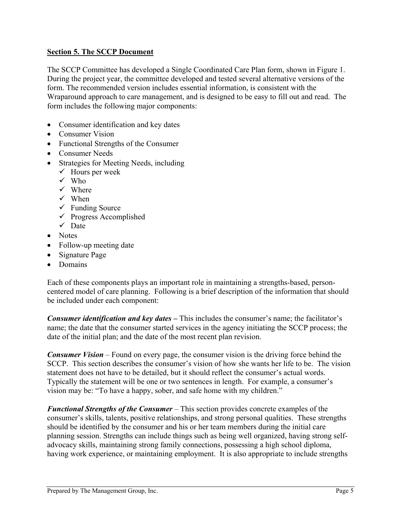#### **Section 5. The SCCP Document**

The SCCP Committee has developed a Single Coordinated Care Plan form, shown in Figure 1. During the project year, the committee developed and tested several alternative versions of the form. The recommended version includes essential information, is consistent with the Wraparound approach to care management, and is designed to be easy to fill out and read. The form includes the following major components:

- Consumer identification and key dates
- Consumer Vision
- Functional Strengths of the Consumer
- Consumer Needs
- Strategies for Meeting Needs, including
	- $\checkmark$  Hours per week
	- $\checkmark$  Who
	- $\checkmark$  Where
	- $\checkmark$  When
	- $\checkmark$  Funding Source
	- $\checkmark$  Progress Accomplished
	- $\checkmark$  Date
- Notes
- Follow-up meeting date
- Signature Page
- Domains

Each of these components plays an important role in maintaining a strengths-based, personcentered model of care planning. Following is a brief description of the information that should be included under each component:

*Consumer identification and key dates –* This includes the consumer's name; the facilitator's name; the date that the consumer started services in the agency initiating the SCCP process; the date of the initial plan; and the date of the most recent plan revision.

*Consumer Vision* – Found on every page, the consumer vision is the driving force behind the SCCP. This section describes the consumer's vision of how she wants her life to be. The vision statement does not have to be detailed, but it should reflect the consumer's actual words. Typically the statement will be one or two sentences in length. For example, a consumer's vision may be: "To have a happy, sober, and safe home with my children."

*Functional Strengths of the Consumer* – This section provides concrete examples of the consumer's skills, talents, positive relationships, and strong personal qualities. These strengths should be identified by the consumer and his or her team members during the initial care planning session. Strengths can include things such as being well organized, having strong selfadvocacy skills, maintaining strong family connections, possessing a high school diploma, having work experience, or maintaining employment. It is also appropriate to include strengths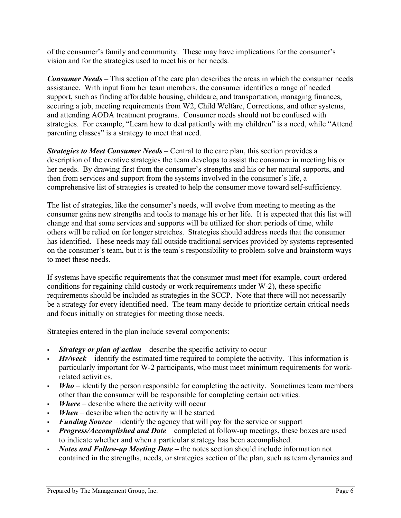of the consumer's family and community. These may have implications for the consumer's vision and for the strategies used to meet his or her needs.

*Consumer Needs* – This section of the care plan describes the areas in which the consumer needs assistance. With input from her team members, the consumer identifies a range of needed support, such as finding affordable housing, childcare, and transportation, managing finances, securing a job, meeting requirements from W2, Child Welfare, Corrections, and other systems, and attending AODA treatment programs. Consumer needs should not be confused with strategies. For example, "Learn how to deal patiently with my children" is a need, while "Attend parenting classes" is a strategy to meet that need.

*Strategies to Meet Consumer Needs* – Central to the care plan, this section provides a description of the creative strategies the team develops to assist the consumer in meeting his or her needs. By drawing first from the consumer's strengths and his or her natural supports, and then from services and support from the systems involved in the consumer's life, a comprehensive list of strategies is created to help the consumer move toward self-sufficiency.

The list of strategies, like the consumer's needs, will evolve from meeting to meeting as the consumer gains new strengths and tools to manage his or her life. It is expected that this list will change and that some services and supports will be utilized for short periods of time, while others will be relied on for longer stretches. Strategies should address needs that the consumer has identified. These needs may fall outside traditional services provided by systems represented on the consumer's team, but it is the team's responsibility to problem-solve and brainstorm ways to meet these needs.

If systems have specific requirements that the consumer must meet (for example, court-ordered conditions for regaining child custody or work requirements under W-2), these specific requirements should be included as strategies in the SCCP. Note that there will not necessarily be a strategy for every identified need. The team many decide to prioritize certain critical needs and focus initially on strategies for meeting those needs.

Strategies entered in the plan include several components:

- *Strategy or plan of action* describe the specific activity to occur
- *Hr/week* identify the estimated time required to complete the activity. This information is particularly important for W-2 participants, who must meet minimum requirements for workrelated activities.
- *Who* identify the person responsible for completing the activity. Sometimes team members other than the consumer will be responsible for completing certain activities.
- *Where* describe where the activity will occur
- *When* describe when the activity will be started
- *Funding Source*  identify the agency that will pay for the service or support
- *Progress/Accomplished and Date*  completed at follow-up meetings, these boxes are used to indicate whether and when a particular strategy has been accomplished.
- *Notes and Follow-up Meeting Date the notes section should include information not* contained in the strengths, needs, or strategies section of the plan, such as team dynamics and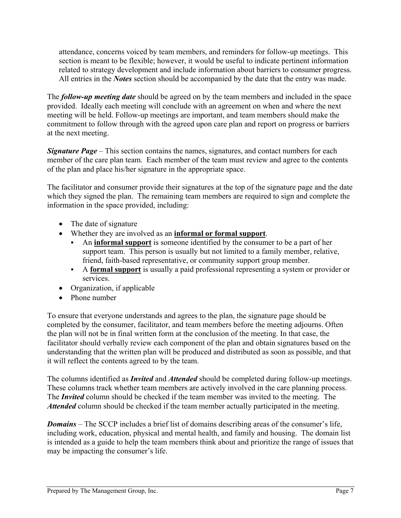attendance, concerns voiced by team members, and reminders for follow-up meetings. This section is meant to be flexible; however, it would be useful to indicate pertinent information related to strategy development and include information about barriers to consumer progress. All entries in the *Notes* section should be accompanied by the date that the entry was made.

The *follow-up meeting date* should be agreed on by the team members and included in the space provided. Ideally each meeting will conclude with an agreement on when and where the next meeting will be held. Follow-up meetings are important, and team members should make the commitment to follow through with the agreed upon care plan and report on progress or barriers at the next meeting.

*Signature Page* – This section contains the names, signatures, and contact numbers for each member of the care plan team. Each member of the team must review and agree to the contents of the plan and place his/her signature in the appropriate space.

The facilitator and consumer provide their signatures at the top of the signature page and the date which they signed the plan. The remaining team members are required to sign and complete the information in the space provided, including:

- The date of signature
- Whether they are involved as an **informal or formal support**.
	- An **informal support** is someone identified by the consumer to be a part of her support team. This person is usually but not limited to a family member, relative, friend, faith-based representative, or community support group member.
	- A **formal support** is usually a paid professional representing a system or provider or services.
- Organization, if applicable
- Phone number

To ensure that everyone understands and agrees to the plan, the signature page should be completed by the consumer, facilitator, and team members before the meeting adjourns. Often the plan will not be in final written form at the conclusion of the meeting. In that case, the facilitator should verbally review each component of the plan and obtain signatures based on the understanding that the written plan will be produced and distributed as soon as possible, and that it will reflect the contents agreed to by the team.

The columns identified as *Invited* and *Attended* should be completed during follow-up meetings. These columns track whether team members are actively involved in the care planning process. The *Invited* column should be checked if the team member was invited to the meeting. The *Attended* column should be checked if the team member actually participated in the meeting.

*Domains* – The SCCP includes a brief list of domains describing areas of the consumer's life, including work, education, physical and mental health, and family and housing. The domain list is intended as a guide to help the team members think about and prioritize the range of issues that may be impacting the consumer's life.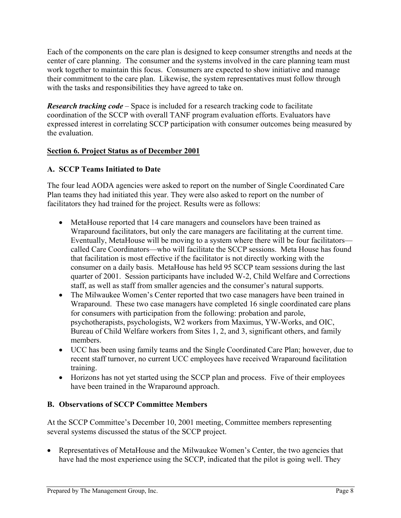Each of the components on the care plan is designed to keep consumer strengths and needs at the center of care planning. The consumer and the systems involved in the care planning team must work together to maintain this focus. Consumers are expected to show initiative and manage their commitment to the care plan. Likewise, the system representatives must follow through with the tasks and responsibilities they have agreed to take on.

*Research tracking code –* Space is included for a research tracking code to facilitate coordination of the SCCP with overall TANF program evaluation efforts. Evaluators have expressed interest in correlating SCCP participation with consumer outcomes being measured by the evaluation.

#### **Section 6. Project Status as of December 2001**

#### **A. SCCP Teams Initiated to Date**

The four lead AODA agencies were asked to report on the number of Single Coordinated Care Plan teams they had initiated this year. They were also asked to report on the number of facilitators they had trained for the project. Results were as follows:

- MetaHouse reported that 14 care managers and counselors have been trained as Wraparound facilitators, but only the care managers are facilitating at the current time. Eventually, MetaHouse will be moving to a system where there will be four facilitators called Care Coordinators—who will facilitate the SCCP sessions. Meta House has found that facilitation is most effective if the facilitator is not directly working with the consumer on a daily basis. MetaHouse has held 95 SCCP team sessions during the last quarter of 2001. Session participants have included W-2, Child Welfare and Corrections staff, as well as staff from smaller agencies and the consumer's natural supports.
- The Milwaukee Women's Center reported that two case managers have been trained in Wraparound. These two case managers have completed 16 single coordinated care plans for consumers with participation from the following: probation and parole, psychotherapists, psychologists, W2 workers from Maximus, YW-Works, and OIC, Bureau of Child Welfare workers from Sites 1, 2, and 3, significant others, and family members.
- UCC has been using family teams and the Single Coordinated Care Plan; however, due to recent staff turnover, no current UCC employees have received Wraparound facilitation training.
- Horizons has not yet started using the SCCP plan and process. Five of their employees have been trained in the Wraparound approach.

#### **B. Observations of SCCP Committee Members**

At the SCCP Committee's December 10, 2001 meeting, Committee members representing several systems discussed the status of the SCCP project.

• Representatives of MetaHouse and the Milwaukee Women's Center, the two agencies that have had the most experience using the SCCP, indicated that the pilot is going well. They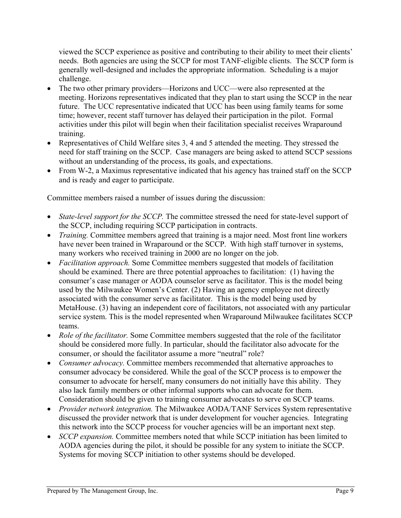viewed the SCCP experience as positive and contributing to their ability to meet their clients' needs. Both agencies are using the SCCP for most TANF-eligible clients. The SCCP form is generally well-designed and includes the appropriate information. Scheduling is a major challenge.

- The two other primary providers—Horizons and UCC—were also represented at the meeting. Horizons representatives indicated that they plan to start using the SCCP in the near future. The UCC representative indicated that UCC has been using family teams for some time; however, recent staff turnover has delayed their participation in the pilot. Formal activities under this pilot will begin when their facilitation specialist receives Wraparound training.
- Representatives of Child Welfare sites 3, 4 and 5 attended the meeting. They stressed the need for staff training on the SCCP. Case managers are being asked to attend SCCP sessions without an understanding of the process, its goals, and expectations.
- From W-2, a Maximus representative indicated that his agency has trained staff on the SCCP and is ready and eager to participate.

Committee members raised a number of issues during the discussion:

- *State-level support for the SCCP*. The committee stressed the need for state-level support of the SCCP, including requiring SCCP participation in contracts.
- *Training.* Committee members agreed that training is a major need. Most front line workers have never been trained in Wraparound or the SCCP. With high staff turnover in systems, many workers who received training in 2000 are no longer on the job.
- *Facilitation approach.* Some Committee members suggested that models of facilitation should be examined. There are three potential approaches to facilitation: (1) having the consumer's case manager or AODA counselor serve as facilitator. This is the model being used by the Milwaukee Women's Center. (2) Having an agency employee not directly associated with the consumer serve as facilitator. This is the model being used by MetaHouse. (3) having an independent core of facilitators, not associated with any particular service system. This is the model represented when Wraparound Milwaukee facilitates SCCP teams.
- *Role of the facilitator*. Some Committee members suggested that the role of the facilitator should be considered more fully. In particular, should the facilitator also advocate for the consumer, or should the facilitator assume a more "neutral" role?
- *Consumer advocacy.* Committee members recommended that alternative approaches to consumer advocacy be considered. While the goal of the SCCP process is to empower the consumer to advocate for herself, many consumers do not initially have this ability. They also lack family members or other informal supports who can advocate for them. Consideration should be given to training consumer advocates to serve on SCCP teams.
- *Provider network integration.* The Milwaukee AODA/TANF Services System representative discussed the provider network that is under development for voucher agencies. Integrating this network into the SCCP process for voucher agencies will be an important next step.
- *SCCP expansion.* Committee members noted that while SCCP initiation has been limited to AODA agencies during the pilot, it should be possible for any system to initiate the SCCP. Systems for moving SCCP initiation to other systems should be developed.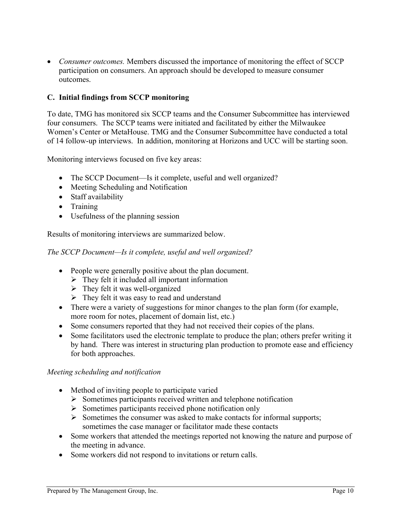• *Consumer outcomes.* Members discussed the importance of monitoring the effect of SCCP participation on consumers. An approach should be developed to measure consumer outcomes.

#### **C. Initial findings from SCCP monitoring**

To date, TMG has monitored six SCCP teams and the Consumer Subcommittee has interviewed four consumers. The SCCP teams were initiated and facilitated by either the Milwaukee Women's Center or MetaHouse. TMG and the Consumer Subcommittee have conducted a total of 14 follow-up interviews. In addition, monitoring at Horizons and UCC will be starting soon.

Monitoring interviews focused on five key areas:

- The SCCP Document—Is it complete, useful and well organized?
- Meeting Scheduling and Notification
- Staff availability
- Training
- Usefulness of the planning session

Results of monitoring interviews are summarized below.

*The SCCP Document—Is it complete, useful and well organized?* 

- People were generally positive about the plan document.
	- $\triangleright$  They felt it included all important information
	- $\triangleright$  They felt it was well-organized
	- $\triangleright$  They felt it was easy to read and understand
- There were a variety of suggestions for minor changes to the plan form (for example, more room for notes, placement of domain list, etc.)
- Some consumers reported that they had not received their copies of the plans.
- Some facilitators used the electronic template to produce the plan; others prefer writing it by hand. There was interest in structuring plan production to promote ease and efficiency for both approaches.

#### *Meeting scheduling and notification*

- Method of inviting people to participate varied
	- $\triangleright$  Sometimes participants received written and telephone notification
	- $\triangleright$  Sometimes participants received phone notification only
	- $\triangleright$  Sometimes the consumer was asked to make contacts for informal supports; sometimes the case manager or facilitator made these contacts
- Some workers that attended the meetings reported not knowing the nature and purpose of the meeting in advance.
- Some workers did not respond to invitations or return calls.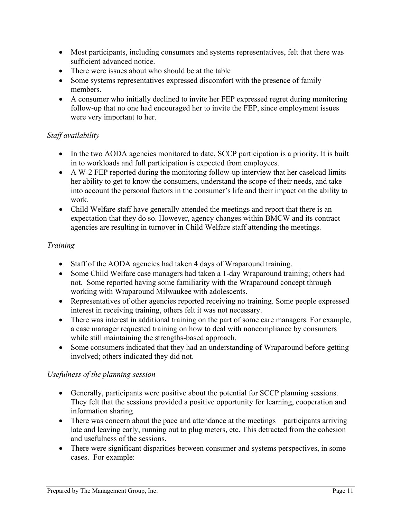- Most participants, including consumers and systems representatives, felt that there was sufficient advanced notice.
- There were issues about who should be at the table
- Some systems representatives expressed discomfort with the presence of family members.
- A consumer who initially declined to invite her FEP expressed regret during monitoring follow-up that no one had encouraged her to invite the FEP, since employment issues were very important to her.

#### *Staff availability*

- In the two AODA agencies monitored to date, SCCP participation is a priority. It is built in to workloads and full participation is expected from employees.
- A W-2 FEP reported during the monitoring follow-up interview that her caseload limits her ability to get to know the consumers, understand the scope of their needs, and take into account the personal factors in the consumer's life and their impact on the ability to work.
- Child Welfare staff have generally attended the meetings and report that there is an expectation that they do so. However, agency changes within BMCW and its contract agencies are resulting in turnover in Child Welfare staff attending the meetings.

#### *Training*

- Staff of the AODA agencies had taken 4 days of Wraparound training.
- Some Child Welfare case managers had taken a 1-day Wraparound training; others had not. Some reported having some familiarity with the Wraparound concept through working with Wraparound Milwaukee with adolescents.
- Representatives of other agencies reported receiving no training. Some people expressed interest in receiving training, others felt it was not necessary.
- There was interest in additional training on the part of some care managers. For example, a case manager requested training on how to deal with noncompliance by consumers while still maintaining the strengths-based approach.
- Some consumers indicated that they had an understanding of Wraparound before getting involved; others indicated they did not.

#### *Usefulness of the planning session*

- Generally, participants were positive about the potential for SCCP planning sessions. They felt that the sessions provided a positive opportunity for learning, cooperation and information sharing.
- There was concern about the pace and attendance at the meetings—participants arriving late and leaving early, running out to plug meters, etc. This detracted from the cohesion and usefulness of the sessions.
- There were significant disparities between consumer and systems perspectives, in some cases. For example: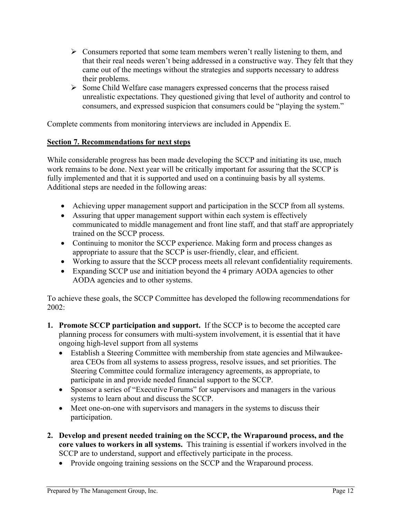- $\triangleright$  Consumers reported that some team members weren't really listening to them, and that their real needs weren't being addressed in a constructive way. They felt that they came out of the meetings without the strategies and supports necessary to address their problems.
- ¾ Some Child Welfare case managers expressed concerns that the process raised unrealistic expectations. They questioned giving that level of authority and control to consumers, and expressed suspicion that consumers could be "playing the system."

Complete comments from monitoring interviews are included in Appendix E.

#### **Section 7. Recommendations for next steps**

While considerable progress has been made developing the SCCP and initiating its use, much work remains to be done. Next year will be critically important for assuring that the SCCP is fully implemented and that it is supported and used on a continuing basis by all systems. Additional steps are needed in the following areas:

- Achieving upper management support and participation in the SCCP from all systems.
- Assuring that upper management support within each system is effectively communicated to middle management and front line staff, and that staff are appropriately trained on the SCCP process.
- Continuing to monitor the SCCP experience. Making form and process changes as appropriate to assure that the SCCP is user-friendly, clear, and efficient.
- Working to assure that the SCCP process meets all relevant confidentiality requirements.
- Expanding SCCP use and initiation beyond the 4 primary AODA agencies to other AODA agencies and to other systems.

To achieve these goals, the SCCP Committee has developed the following recommendations for 2002:

- **1. Promote SCCP participation and support.** If the SCCP is to become the accepted care planning process for consumers with multi-system involvement, it is essential that it have ongoing high-level support from all systems
	- Establish a Steering Committee with membership from state agencies and Milwaukeearea CEOs from all systems to assess progress, resolve issues, and set priorities. The Steering Committee could formalize interagency agreements, as appropriate, to participate in and provide needed financial support to the SCCP.
	- Sponsor a series of "Executive Forums" for supervisors and managers in the various systems to learn about and discuss the SCCP.
	- Meet one-on-one with supervisors and managers in the systems to discuss their participation.
- **2. Develop and present needed training on the SCCP, the Wraparound process, and the core values to workers in all systems.** This training is essential if workers involved in the SCCP are to understand, support and effectively participate in the process.
	- Provide ongoing training sessions on the SCCP and the Wraparound process.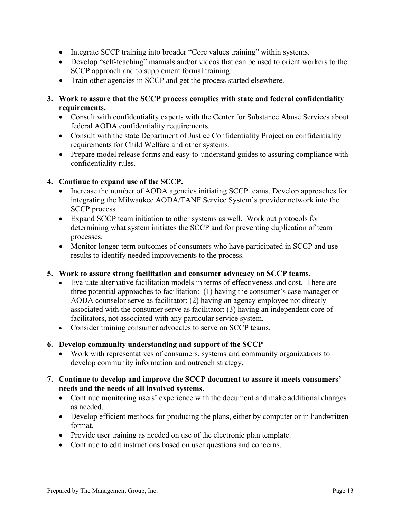- Integrate SCCP training into broader "Core values training" within systems.
- Develop "self-teaching" manuals and/or videos that can be used to orient workers to the SCCP approach and to supplement formal training.
- Train other agencies in SCCP and get the process started elsewhere.
- **3. Work to assure that the SCCP process complies with state and federal confidentiality requirements.** 
	- Consult with confidentiality experts with the Center for Substance Abuse Services about federal AODA confidentiality requirements.
	- Consult with the state Department of Justice Confidentiality Project on confidentiality requirements for Child Welfare and other systems.
	- Prepare model release forms and easy-to-understand guides to assuring compliance with confidentiality rules.

#### **4. Continue to expand use of the SCCP.**

- Increase the number of AODA agencies initiating SCCP teams. Develop approaches for integrating the Milwaukee AODA/TANF Service System's provider network into the SCCP process.
- Expand SCCP team initiation to other systems as well. Work out protocols for determining what system initiates the SCCP and for preventing duplication of team processes.
- Monitor longer-term outcomes of consumers who have participated in SCCP and use results to identify needed improvements to the process.

#### **5. Work to assure strong facilitation and consumer advocacy on SCCP teams.**

- Evaluate alternative facilitation models in terms of effectiveness and cost. There are three potential approaches to facilitation: (1) having the consumer's case manager or AODA counselor serve as facilitator; (2) having an agency employee not directly associated with the consumer serve as facilitator; (3) having an independent core of facilitators, not associated with any particular service system.
- Consider training consumer advocates to serve on SCCP teams.

#### **6. Develop community understanding and support of the SCCP**

- Work with representatives of consumers, systems and community organizations to develop community information and outreach strategy.
- **7. Continue to develop and improve the SCCP document to assure it meets consumers' needs and the needs of all involved systems.** 
	- Continue monitoring users' experience with the document and make additional changes as needed.
	- Develop efficient methods for producing the plans, either by computer or in handwritten format.
	- Provide user training as needed on use of the electronic plan template.
	- Continue to edit instructions based on user questions and concerns.